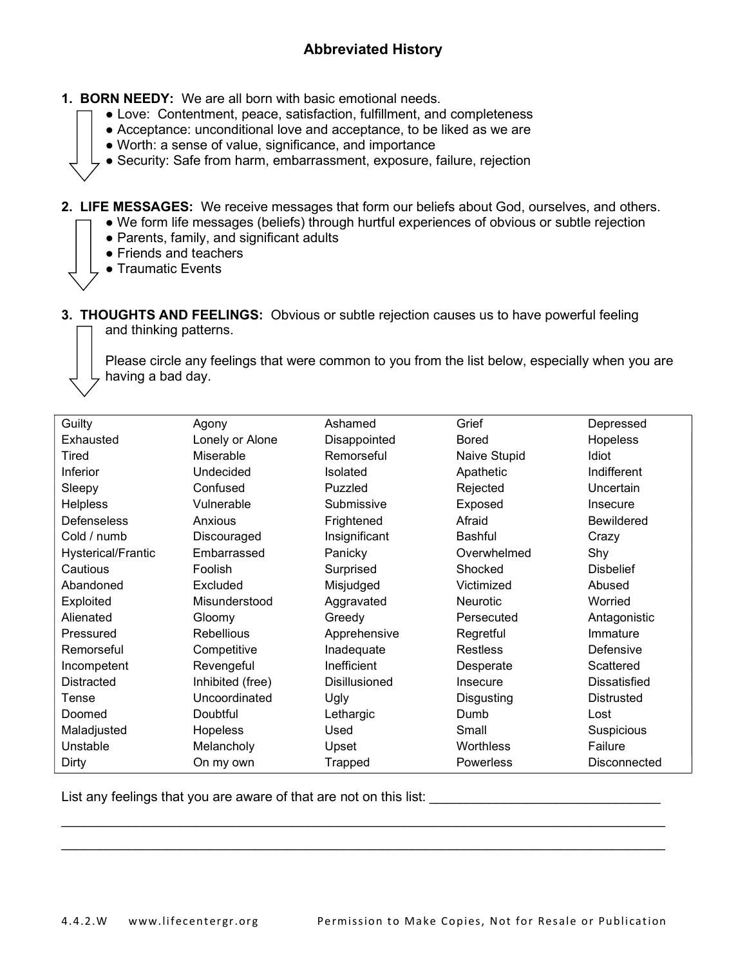- 1. BORN NEEDY: We are all born with basic emotional needs.
	- Love: Contentment, peace, satisfaction, fulfillment, and completeness
	- Acceptance: unconditional love and acceptance, to be liked as we are
	- Worth: a sense of value, significance, and importance
	- Security: Safe from harm, embarrassment, exposure, failure, rejection
- 2. LIFE MESSAGES: We receive messages that form our beliefs about God, ourselves, and others.
	- We form life messages (beliefs) through hurtful experiences of obvious or subtle rejection
		- Parents, family, and significant adults
		- Friends and teachers
		- Traumatic Events
- 3. THOUGHTS AND FEELINGS: Obvious or subtle rejection causes us to have powerful feeling and thinking patterns.

Please circle any feelings that were common to you from the list below, especially when you are <sub>z</sub>having a bad day.

| Guilty                    | Agony             | Ashamed         | Grief            | Depressed           |
|---------------------------|-------------------|-----------------|------------------|---------------------|
| Exhausted                 | Lonely or Alone   | Disappointed    | <b>Bored</b>     | Hopeless            |
| Tired                     | Miserable         | Remorseful      | Naive Stupid     | Idiot               |
| <b>Inferior</b>           | Undecided         | <b>Isolated</b> | Apathetic        | Indifferent         |
| Sleepy                    | Confused          | Puzzled         | Rejected         | Uncertain           |
| <b>Helpless</b>           | Vulnerable        | Submissive      | Exposed          | Insecure            |
|                           |                   |                 |                  |                     |
| Defenseless               | Anxious           | Frightened      | Afraid           | <b>Bewildered</b>   |
| Cold / numb               | Discouraged       | Insignificant   | <b>Bashful</b>   | Crazy               |
| <b>Hysterical/Frantic</b> | Embarrassed       | Panicky         | Overwhelmed      | Shy                 |
| Cautious                  | Foolish           | Surprised       | Shocked          | <b>Disbelief</b>    |
| Abandoned                 | Excluded          | Misjudged       | Victimized       | Abused              |
| Exploited                 | Misunderstood     | Aggravated      | Neurotic         | Worried             |
| Alienated                 | Gloomy            | Greedy          | Persecuted       | Antagonistic        |
| Pressured                 | <b>Rebellious</b> | Apprehensive    | Regretful        | Immature            |
| Remorseful                | Competitive       | Inadequate      | <b>Restless</b>  | Defensive           |
| Incompetent               | Revengeful        | Inefficient     | Desperate        | Scattered           |
| <b>Distracted</b>         | Inhibited (free)  | Disillusioned   | Insecure         | <b>Dissatisfied</b> |
| Tense                     | Uncoordinated     | Ugly            | Disgusting       | Distrusted          |
| Doomed                    | Doubtful          | Lethargic       | Dumb             | Lost                |
| Maladjusted               | Hopeless          | Used            | Small            | Suspicious          |
| Unstable                  | Melancholy        | Upset           | Worthless        | Failure             |
| Dirty                     | On my own         | Trapped         | <b>Powerless</b> | <b>Disconnected</b> |

 $\_$ 

List any feelings that you are aware of that are not on this list: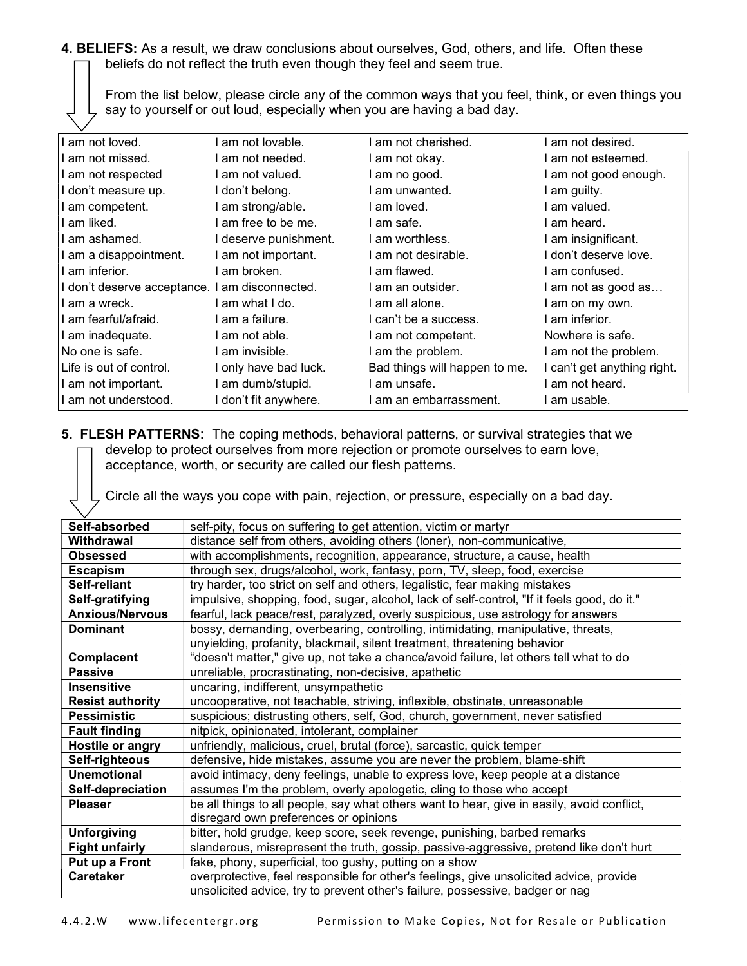4. BELIEFS: As a result, we draw conclusions about ourselves, God, others, and life. Often these beliefs do not reflect the truth even though they feel and seem true.

From the list below, please circle any of the common ways that you feel, think, or even things you say to yourself or out loud, especially when you are having a bad day.

| I am not loved.                                | am not lovable.       | am not cherished.             | am not desired.             |
|------------------------------------------------|-----------------------|-------------------------------|-----------------------------|
| I am not missed.                               | am not needed.        | am not okay.                  | am not esteemed.            |
| I am not respected                             | l am not valued.      | I am no good.                 | am not good enough.         |
| I don't measure up.                            | I don't belong.       | l am unwanted.                | am guilty.                  |
| I am competent.                                | am strong/able.       | am loved.                     | am valued.                  |
| I am liked.                                    | am free to be me.     | l am safe.                    | am heard.                   |
| I am ashamed.                                  | I deserve punishment. | I am worthless.               | am insignificant.           |
| I am a disappointment.                         | I am not important.   | I am not desirable.           | l don't deserve love.       |
| I am inferior.                                 | am broken.            | am flawed.                    | am confused.                |
| I don't deserve acceptance. I am disconnected. |                       | I am an outsider.             | I am not as good as         |
| I am a wreck.                                  | l am what I do.       | l am all alone.               | I am on my own.             |
| I am fearful/afraid.                           | am a failure.         | I can't be a success.         | am inferior.                |
| I am inadequate.                               | I am not able.        | I am not competent.           | Nowhere is safe.            |
| No one is safe.                                | l am invisible.       | I am the problem.             | I am not the problem.       |
| Life is out of control.                        | I only have bad luck. | Bad things will happen to me. | I can't get anything right. |
| I am not important.                            | am dumb/stupid.       | am unsafe.                    | am not heard.               |
| I am not understood.                           | I don't fit anywhere. | I am an embarrassment.        | am usable.                  |

## 5. FLESH PATTERNS: The coping methods, behavioral patterns, or survival strategies that we develop to protect ourselves from more rejection or promote ourselves to earn love, acceptance, worth, or security are called our flesh patterns.

Circle all the ways you cope with pain, rejection, or pressure, especially on a bad day.

| Self-absorbed           | self-pity, focus on suffering to get attention, victim or martyr                            |  |  |
|-------------------------|---------------------------------------------------------------------------------------------|--|--|
| Withdrawal              | distance self from others, avoiding others (loner), non-communicative,                      |  |  |
| <b>Obsessed</b>         | with accomplishments, recognition, appearance, structure, a cause, health                   |  |  |
| <b>Escapism</b>         | through sex, drugs/alcohol, work, fantasy, porn, TV, sleep, food, exercise                  |  |  |
| Self-reliant            | try harder, too strict on self and others, legalistic, fear making mistakes                 |  |  |
| Self-gratifying         | impulsive, shopping, food, sugar, alcohol, lack of self-control, "If it feels good, do it." |  |  |
| <b>Anxious/Nervous</b>  | fearful, lack peace/rest, paralyzed, overly suspicious, use astrology for answers           |  |  |
| <b>Dominant</b>         | bossy, demanding, overbearing, controlling, intimidating, manipulative, threats,            |  |  |
|                         | unyielding, profanity, blackmail, silent treatment, threatening behavior                    |  |  |
| Complacent              | "doesn't matter," give up, not take a chance/avoid failure, let others tell what to do      |  |  |
| <b>Passive</b>          | unreliable, procrastinating, non-decisive, apathetic                                        |  |  |
| <b>Insensitive</b>      | uncaring, indifferent, unsympathetic                                                        |  |  |
| <b>Resist authority</b> | uncooperative, not teachable, striving, inflexible, obstinate, unreasonable                 |  |  |
| <b>Pessimistic</b>      | suspicious; distrusting others, self, God, church, government, never satisfied              |  |  |
| <b>Fault finding</b>    | nitpick, opinionated, intolerant, complainer                                                |  |  |
| Hostile or angry        | unfriendly, malicious, cruel, brutal (force), sarcastic, quick temper                       |  |  |
| Self-righteous          | defensive, hide mistakes, assume you are never the problem, blame-shift                     |  |  |
| <b>Unemotional</b>      | avoid intimacy, deny feelings, unable to express love, keep people at a distance            |  |  |
| Self-depreciation       | assumes I'm the problem, overly apologetic, cling to those who accept                       |  |  |
| <b>Pleaser</b>          | be all things to all people, say what others want to hear, give in easily, avoid conflict,  |  |  |
|                         | disregard own preferences or opinions                                                       |  |  |
| <b>Unforgiving</b>      | bitter, hold grudge, keep score, seek revenge, punishing, barbed remarks                    |  |  |
| <b>Fight unfairly</b>   | slanderous, misrepresent the truth, gossip, passive-aggressive, pretend like don't hurt     |  |  |
| Put up a Front          | fake, phony, superficial, too gushy, putting on a show                                      |  |  |
| <b>Caretaker</b>        | overprotective, feel responsible for other's feelings, give unsolicited advice, provide     |  |  |
|                         | unsolicited advice, try to prevent other's failure, possessive, badger or nag               |  |  |